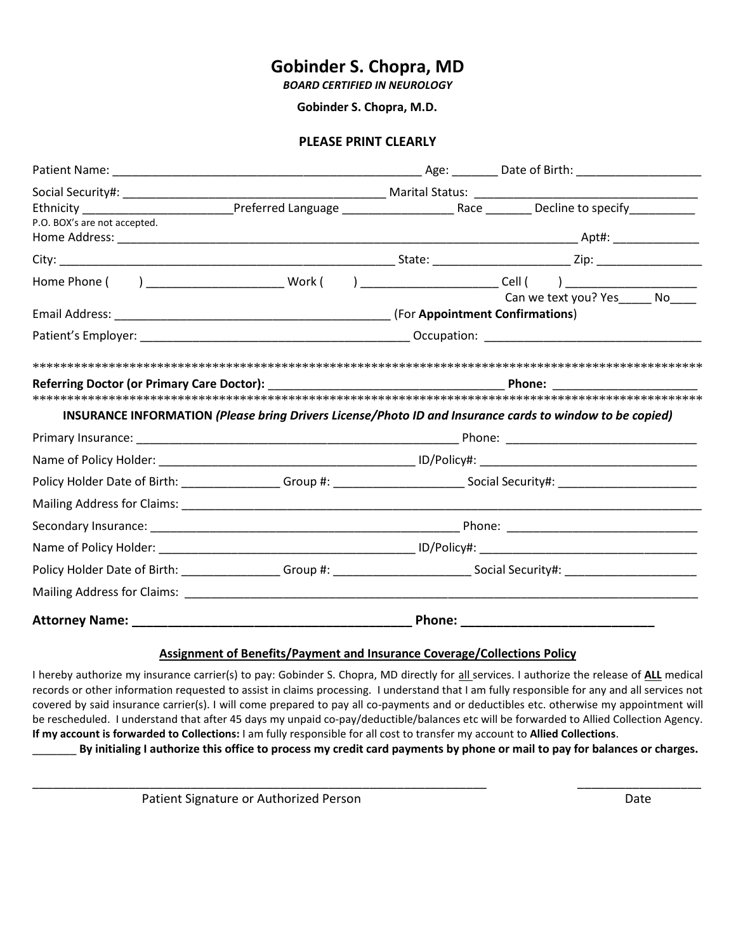### **Gobinder S. Chopra, MD**

*BOARD CERTIFIED IN NEUROLOGY*

 **Gobinder S. Chopra, M.D.** 

#### **PLEASE PRINT CLEARLY**

| P.O. BOX's are not accepted. |  |                                                                                                          |  |
|------------------------------|--|----------------------------------------------------------------------------------------------------------|--|
|                              |  |                                                                                                          |  |
|                              |  |                                                                                                          |  |
|                              |  |                                                                                                          |  |
|                              |  |                                                                                                          |  |
|                              |  | INSURANCE INFORMATION (Please bring Drivers License/Photo ID and Insurance cards to window to be copied) |  |
|                              |  |                                                                                                          |  |
|                              |  |                                                                                                          |  |
|                              |  |                                                                                                          |  |
|                              |  |                                                                                                          |  |
|                              |  |                                                                                                          |  |
|                              |  |                                                                                                          |  |
|                              |  |                                                                                                          |  |
|                              |  |                                                                                                          |  |
|                              |  |                                                                                                          |  |

#### **Assignment of Benefits/Payment and Insurance Coverage/Collections Policy**

I hereby authorize my insurance carrier(s) to pay: Gobinder S. Chopra, MD directly for all services. I authorize the release of **ALL** medical records or other information requested to assist in claims processing. I understand that I am fully responsible for any and all services not covered by said insurance carrier(s). I will come prepared to pay all co-payments and or deductibles etc. otherwise my appointment will be rescheduled. I understand that after 45 days my unpaid co-pay/deductible/balances etc will be forwarded to Allied Collection Agency. **If my account is forwarded to Collections:** I am fully responsible for all cost to transfer my account to **Allied Collections**.

\_\_\_\_\_\_\_\_\_\_\_\_\_\_\_\_\_\_\_\_\_\_\_\_\_\_\_\_\_\_\_\_\_\_\_\_\_\_\_\_\_\_\_\_\_\_\_\_\_\_\_\_\_\_\_\_\_\_\_\_\_\_\_\_\_\_ \_\_\_\_\_\_\_\_\_\_\_\_\_\_\_\_\_\_

\_\_\_\_\_\_\_ **By initialing I authorize this office to process my credit card payments by phone or mail to pay for balances or charges.**

Patient Signature or Authorized Person Date Date of Authorized Person Date Date of Authorized Person Date Date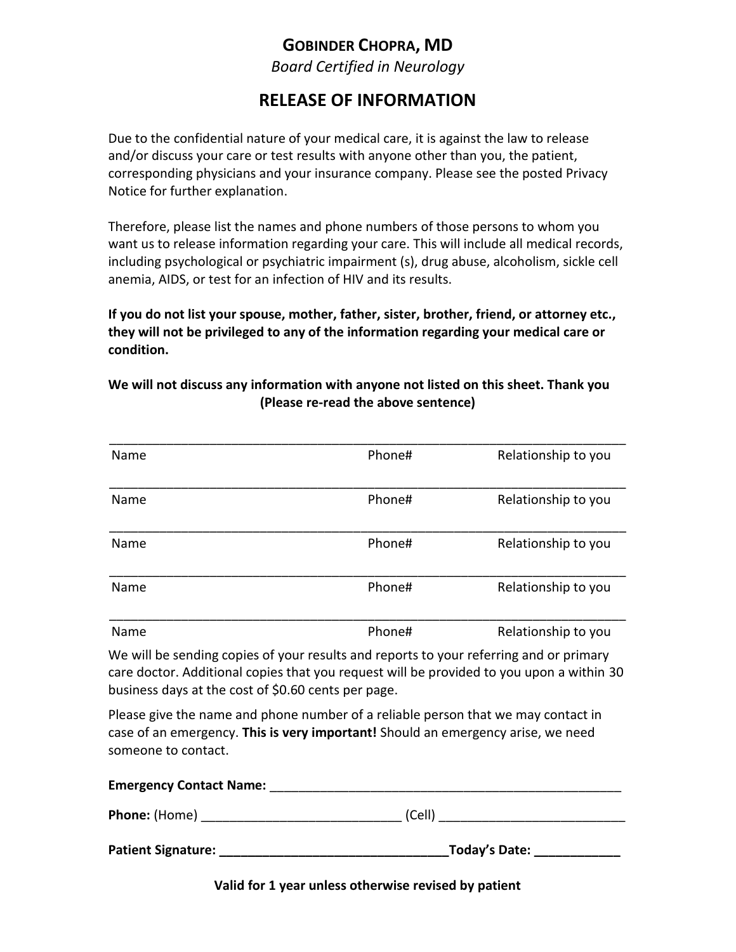### **GOBINDER CHOPRA, MD**

*Board Certified in Neurology*

## **RELEASE OF INFORMATION**

Due to the confidential nature of your medical care, it is against the law to release and/or discuss your care or test results with anyone other than you, the patient, corresponding physicians and your insurance company. Please see the posted Privacy Notice for further explanation.

Therefore, please list the names and phone numbers of those persons to whom you want us to release information regarding your care. This will include all medical records, including psychological or psychiatric impairment (s), drug abuse, alcoholism, sickle cell anemia, AIDS, or test for an infection of HIV and its results.

**If you do not list your spouse, mother, father, sister, brother, friend, or attorney etc., they will not be privileged to any of the information regarding your medical care or condition.**

### **We will not discuss any information with anyone not listed on this sheet. Thank you (Please re-read the above sentence)**

| Name | Phone# | Relationship to you |
|------|--------|---------------------|
| Name | Phone# | Relationship to you |
| Name | Phone# | Relationship to you |
| Name | Phone# | Relationship to you |
| Name | Phone# | Relationship to you |

We will be sending copies of your results and reports to your referring and or primary care doctor. Additional copies that you request will be provided to you upon a within 30 business days at the cost of \$0.60 cents per page.

Please give the name and phone number of a reliable person that we may contact in case of an emergency. **This is very important!** Should an emergency arise, we need someone to contact.

| <b>Emergency Contact Name:</b> |               |
|--------------------------------|---------------|
| <b>Phone:</b> (Home)           | (Cell)        |
| <b>Patient Signature:</b>      | Today's Date: |

**Valid for 1 year unless otherwise revised by patient**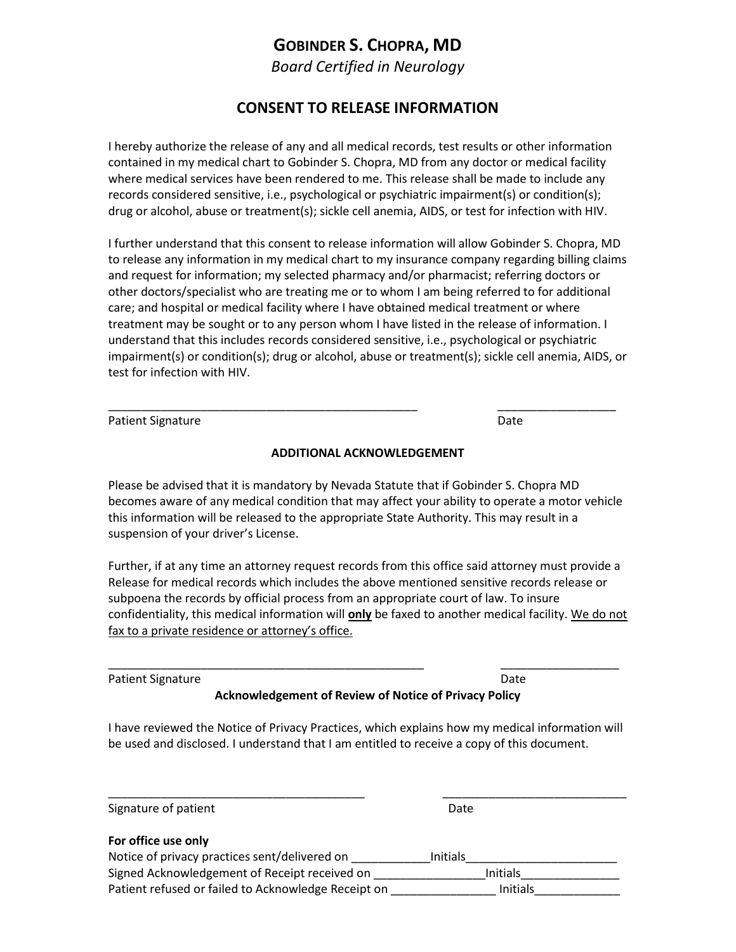### **GOBINDER S. CHOPRA, MD**

*Board Certified in Neurology*

### **CONSENT TO RELEASE INFORMATION**

I hereby authorize the release of any and all medical records, test results or other information contained in my medical chart to Gobinder S. Chopra, MD from any doctor or medical facility where medical services have been rendered to me. This release shall be made to include any records considered sensitive, i.e., psychological or psychiatric impairment(s) or condition(s); drug or alcohol, abuse or treatment(s); sickle cell anemia, AIDS, or test for infection with HIV.

I further understand that this consent to release information will allow Gobinder S. Chopra, MD to release any information in my medical chart to my insurance company regarding billing claims and request for information; my selected pharmacy and/or pharmacist; referring doctors or other doctors/specialist who are treating me or to whom I am being referred to for additional care; and hospital or medical facility where I have obtained medical treatment or where treatment may be sought or to any person whom I have listed in the release of information. I understand that this includes records considered sensitive, i.e., psychological or psychiatric impairment(s) or condition(s); drug or alcohol, abuse or treatment(s); sickle cell anemia, AIDS, or test for infection with HIV.

| <b>Patient Signature</b> | Date |
|--------------------------|------|
|                          |      |

#### **ADDITIONAL ACKNOWLEDGEMENT**

\_\_\_\_\_\_\_\_\_\_\_\_\_\_\_\_\_\_\_\_\_\_\_\_\_\_\_\_\_\_\_\_\_\_\_\_\_\_\_\_\_\_\_\_\_\_\_ \_\_\_\_\_\_\_\_\_\_\_\_\_\_\_\_\_\_

Please be advised that it is mandatory by Nevada Statute that if Gobinder S. Chopra MD becomes aware of any medical condition that may affect your ability to operate a motor vehicle this information will be released to the appropriate State Authority. This may result in a suspension of your driver's License.

Further, if at any time an attorney request records from this office said attorney must provide a Release for medical records which includes the above mentioned sensitive records release or subpoena the records by official process from an appropriate court of law. To insure confidentiality, this medical information will **only** be faxed to another medical facility. We do not fax to a private residence or attorney's office.

Patient Signature Date Date of the Date of the Date Date Date Date of the Date Date of the Date of the Date of the Date of the Date of the Date of the Date of the Date of the Date of the Date of the Date of the Date of the

**Acknowledgement of Review of Notice of Privacy Policy**

\_\_\_\_\_\_\_\_\_\_\_\_\_\_\_\_\_\_\_\_\_\_\_\_\_\_\_\_\_\_\_\_\_\_\_\_\_\_\_\_\_\_\_\_\_\_\_\_ \_\_\_\_\_\_\_\_\_\_\_\_\_\_\_\_\_\_

I have reviewed the Notice of Privacy Practices, which explains how my medical information will be used and disclosed. I understand that I am entitled to receive a copy of this document.

| Signature of patient                                | Date            |
|-----------------------------------------------------|-----------------|
| For office use only                                 |                 |
| Notice of privacy practices sent/delivered on       | <b>Initials</b> |
| Signed Acknowledgement of Receipt received on       | <b>Initials</b> |
| Patient refused or failed to Acknowledge Receipt on | <b>Initials</b> |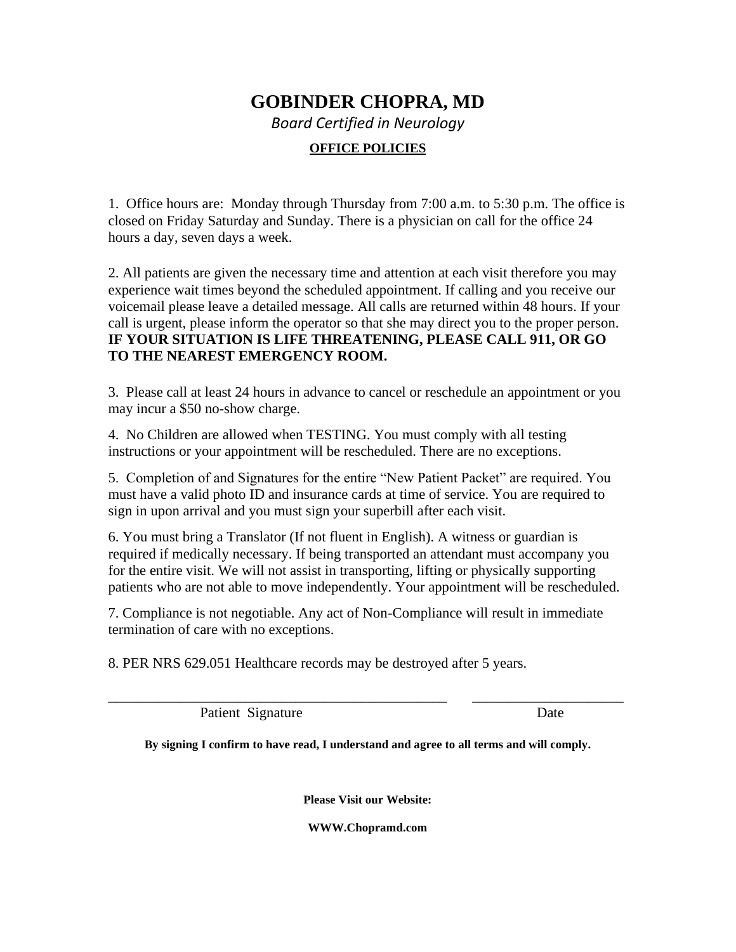# **GOBINDER CHOPRA, MD** *Board Certified in Neurology* **OFFICE POLICIES**

1. Office hours are: Monday through Thursday from 7:00 a.m. to 5:30 p.m. The office is closed on Friday Saturday and Sunday. There is a physician on call for the office 24 hours a day, seven days a week.

2. All patients are given the necessary time and attention at each visit therefore you may experience wait times beyond the scheduled appointment. If calling and you receive our voicemail please leave a detailed message. All calls are returned within 48 hours. If your call is urgent, please inform the operator so that she may direct you to the proper person. **IF YOUR SITUATION IS LIFE THREATENING, PLEASE CALL 911, OR GO TO THE NEAREST EMERGENCY ROOM.** 

3. Please call at least 24 hours in advance to cancel or reschedule an appointment or you may incur a \$50 no-show charge.

4. No Children are allowed when TESTING. You must comply with all testing instructions or your appointment will be rescheduled. There are no exceptions.

5. Completion of and Signatures for the entire "New Patient Packet" are required. You must have a valid photo ID and insurance cards at time of service. You are required to sign in upon arrival and you must sign your superbill after each visit.

6. You must bring a Translator (If not fluent in English). A witness or guardian is required if medically necessary. If being transported an attendant must accompany you for the entire visit. We will not assist in transporting, lifting or physically supporting patients who are not able to move independently. Your appointment will be rescheduled.

7. Compliance is not negotiable. Any act of Non-Compliance will result in immediate termination of care with no exceptions.

8. PER NRS 629.051 Healthcare records may be destroyed after 5 years.

Patient Signature Date

**By signing I confirm to have read, I understand and agree to all terms and will comply.**

\_\_\_\_\_\_\_\_\_\_\_\_\_\_\_\_\_\_\_\_\_\_\_\_\_\_\_\_\_\_\_\_\_\_\_\_\_\_\_\_\_\_\_\_\_\_\_ \_\_\_\_\_\_\_\_\_\_\_\_\_\_\_\_\_\_\_\_\_

**Please Visit our Website:**

**WWW.Chopramd.com**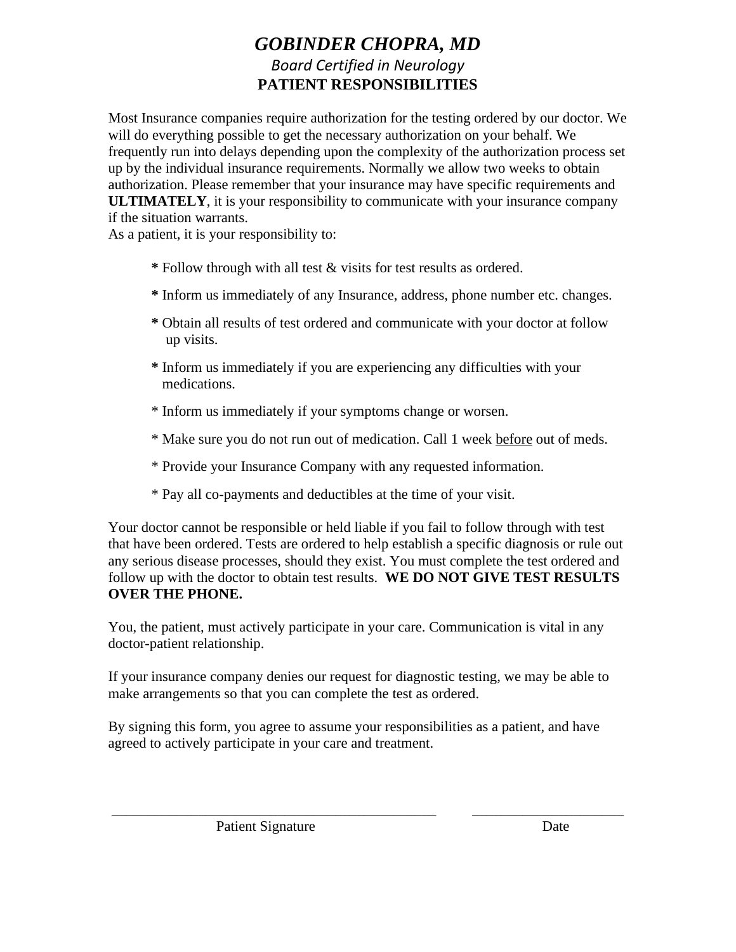## *GOBINDER CHOPRA, MD Board Certified in Neurology* **PATIENT RESPONSIBILITIES**

Most Insurance companies require authorization for the testing ordered by our doctor. We will do everything possible to get the necessary authorization on your behalf. We frequently run into delays depending upon the complexity of the authorization process set up by the individual insurance requirements. Normally we allow two weeks to obtain authorization. Please remember that your insurance may have specific requirements and **ULTIMATELY**, it is your responsibility to communicate with your insurance company if the situation warrants.

As a patient, it is your responsibility to:

- **\*** Follow through with all test & visits for test results as ordered.
- **\*** Inform us immediately of any Insurance, address, phone number etc. changes.
- **\*** Obtain all results of test ordered and communicate with your doctor at follow up visits.
- **\*** Inform us immediately if you are experiencing any difficulties with your medications.
- \* Inform us immediately if your symptoms change or worsen.
- \* Make sure you do not run out of medication. Call 1 week before out of meds.
- \* Provide your Insurance Company with any requested information.
- \* Pay all co-payments and deductibles at the time of your visit.

Your doctor cannot be responsible or held liable if you fail to follow through with test that have been ordered. Tests are ordered to help establish a specific diagnosis or rule out any serious disease processes, should they exist. You must complete the test ordered and follow up with the doctor to obtain test results. **WE DO NOT GIVE TEST RESULTS OVER THE PHONE.**

You, the patient, must actively participate in your care. Communication is vital in any doctor-patient relationship.

If your insurance company denies our request for diagnostic testing, we may be able to make arrangements so that you can complete the test as ordered.

By signing this form, you agree to assume your responsibilities as a patient, and have agreed to actively participate in your care and treatment.

\_\_\_\_\_\_\_\_\_\_\_\_\_\_\_\_\_\_\_\_\_\_\_\_\_\_\_\_\_\_\_\_\_\_\_\_\_\_\_\_\_\_\_\_\_ \_\_\_\_\_\_\_\_\_\_\_\_\_\_\_\_\_\_\_\_\_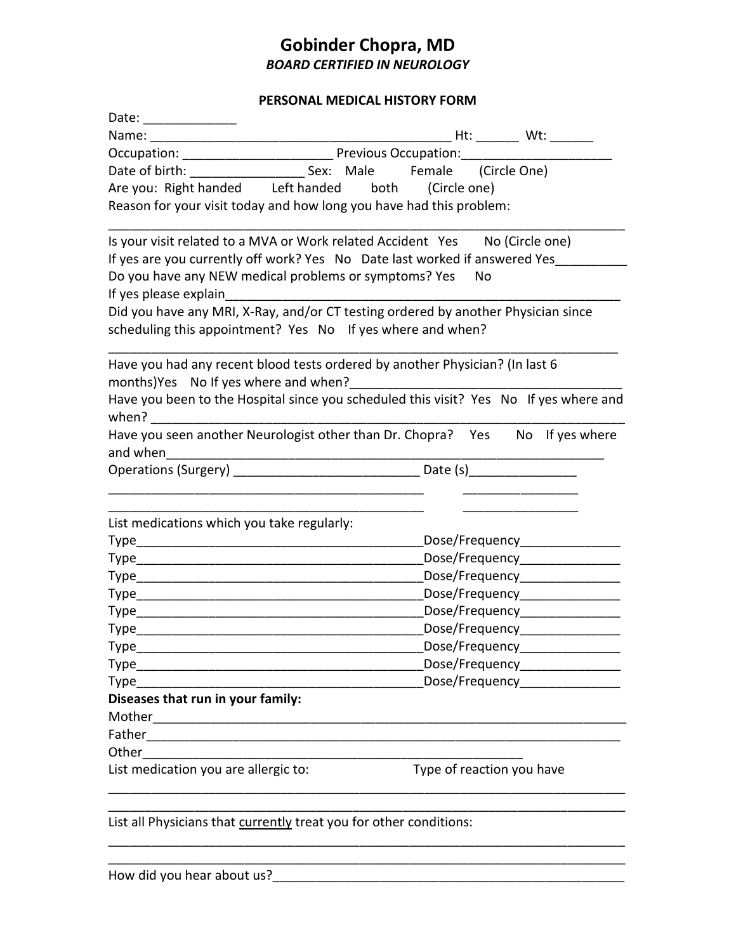### **Gobinder Chopra, MD**  *BOARD CERTIFIED IN NEUROLOGY*

#### **PERSONAL MEDICAL HISTORY FORM**

| Date:                                                                                                                                           |                                                                                       |  |  |
|-------------------------------------------------------------------------------------------------------------------------------------------------|---------------------------------------------------------------------------------------|--|--|
| Name:                                                                                                                                           | $Ht:$ Wt:                                                                             |  |  |
|                                                                                                                                                 |                                                                                       |  |  |
|                                                                                                                                                 |                                                                                       |  |  |
| Are you: Right handed Left handed                                                                                                               | both<br>(Circle one)                                                                  |  |  |
| Reason for your visit today and how long you have had this problem:                                                                             |                                                                                       |  |  |
| Is your visit related to a MVA or Work related Accident Yes No (Circle one)                                                                     |                                                                                       |  |  |
| If yes are you currently off work? Yes No Date last worked if answered Yes                                                                      |                                                                                       |  |  |
| Do you have any NEW medical problems or symptoms? Yes                                                                                           | No                                                                                    |  |  |
| If yes please explain                                                                                                                           |                                                                                       |  |  |
| Did you have any MRI, X-Ray, and/or CT testing ordered by another Physician since<br>scheduling this appointment? Yes No If yes where and when? |                                                                                       |  |  |
| Have you had any recent blood tests ordered by another Physician? (In last 6                                                                    |                                                                                       |  |  |
| when?                                                                                                                                           | Have you been to the Hospital since you scheduled this visit? Yes No If yes where and |  |  |
|                                                                                                                                                 | Have you seen another Neurologist other than Dr. Chopra? Yes No If yes where          |  |  |
| and when                                                                                                                                        |                                                                                       |  |  |
| <b>Operations (Surgery)</b>                                                                                                                     | <u>Date (s)</u> Date (s) <b>Date (s)</b>                                              |  |  |
| List medications which you take regularly:                                                                                                      |                                                                                       |  |  |
| Type                                                                                                                                            | Dose/Frequency______________                                                          |  |  |
| Type                                                                                                                                            | Dose/Frequency______________                                                          |  |  |
| Type                                                                                                                                            | Dose/Frequency_______________                                                         |  |  |
| Type_                                                                                                                                           | Dose/Frequency_________________                                                       |  |  |
| Type                                                                                                                                            | Dose/Frequency________________                                                        |  |  |
| Type                                                                                                                                            | Dose/Frequency                                                                        |  |  |
| <b>Type</b>                                                                                                                                     | Dose/Frequency                                                                        |  |  |
| Type_                                                                                                                                           | Dose/Frequency______________                                                          |  |  |
| Dose/Frequency_______________<br>Type                                                                                                           |                                                                                       |  |  |
| Diseases that run in your family:                                                                                                               |                                                                                       |  |  |
| Mother                                                                                                                                          |                                                                                       |  |  |
| Father                                                                                                                                          |                                                                                       |  |  |
| Other                                                                                                                                           |                                                                                       |  |  |
| List medication you are allergic to:                                                                                                            | Type of reaction you have                                                             |  |  |
|                                                                                                                                                 |                                                                                       |  |  |

\_\_\_\_\_\_\_\_\_\_\_\_\_\_\_\_\_\_\_\_\_\_\_\_\_\_\_\_\_\_\_\_\_\_\_\_\_\_\_\_\_\_\_\_\_\_\_\_\_\_\_\_\_\_\_\_\_\_\_\_\_\_\_\_\_\_\_\_\_\_\_\_

List all Physicians that **currently** treat you for other conditions: